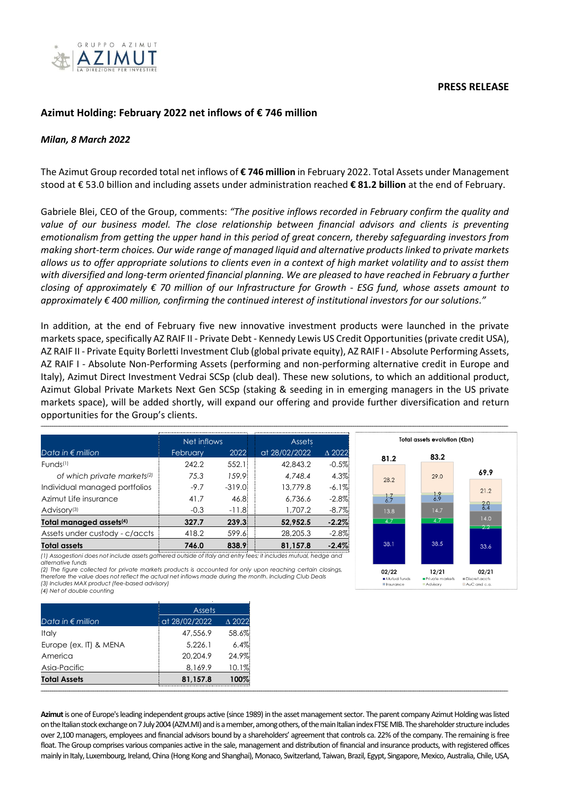

## **PRESS RELEASE**

# **Azimut Holding: February 2022 net inflows of € 746 million**

## *Milan, 8 March 2022*

The Azimut Group recorded total net inflows of **€ 746 million** in February 2022. Total Assets under Management stood at € 53.0 billion and including assets under administration reached **€ 81.2 billion** at the end of February.

Gabriele Blei, CEO of the Group, comments: *"The positive inflows recorded in February confirm the quality and value of our business model. The close relationship between financial advisors and clients is preventing emotionalism from getting the upper hand in this period of great concern, thereby safeguarding investors from making short-term choices. Our wide range of managed liquid and alternative products linked to private markets allows us to offer appropriate solutions to clients even in a context of high market volatility and to assist them with diversified and long-term oriented financial planning. We are pleased to have reached in February a further closing of approximately € 70 million of our Infrastructure for Growth - ESG fund, whose assets amount to approximately € 400 million, confirming the continued interest of institutional investors for our solutions."*

In addition, at the end of February five new innovative investment products were launched in the private markets space, specifically AZ RAIF II - Private Debt - Kennedy Lewis US Credit Opportunities(private credit USA), AZ RAIF II - Private Equity Borletti Investment Club (global private equity), AZ RAIF I - Absolute Performing Assets, AZ RAIF I - Absolute Non-Performing Assets (performing and non-performing alternative credit in Europe and Italy), Azimut Direct Investment Vedrai SCSp (club deal). These new solutions, to which an additional product, Azimut Global Private Markets Next Gen SCSp (staking & seeding in in emerging managers in the US private markets space), will be added shortly, will expand our offering and provide further diversification and return opportunities for the Group's clients.

**\_\_\_\_\_\_\_\_\_\_\_\_\_\_\_\_\_\_\_\_\_\_\_\_\_\_\_\_\_\_\_\_\_\_\_\_\_\_\_\_\_\_\_\_\_\_\_\_\_\_\_\_\_\_\_\_\_\_\_\_\_\_\_\_\_\_\_\_\_\_\_\_\_\_\_\_\_\_\_\_\_\_\_\_\_\_\_\_\_\_\_\_\_\_\_\_\_\_\_\_\_\_\_\_\_\_\_\_\_\_\_\_\_\_\_\_\_\_\_\_\_\_\_\_\_\_\_\_\_\_\_\_\_\_\_\_\_\_\_\_\_\_\_\_\_\_\_\_\_\_\_\_\_\_\_\_\_\_\_\_\_\_\_\_\_\_\_\_\_\_\_\_\_\_\_\_\_\_\_\_\_\_\_\_\_\_\_\_\_\_\_\_\_\_\_\_\_\_\_\_\_\_\_\_\_\_\_\_\_\_\_\_\_\_\_\_\_\_\_\_\_\_\_\_\_\_\_\_\_\_\_\_\_\_\_\_\_\_\_\_\_\_\_\_\_\_\_\_**

|                                         | Net inflows |          | Assets        |                  |
|-----------------------------------------|-------------|----------|---------------|------------------|
| Data in $\epsilon$ million              | February    | 2022     | at 28/02/2022 | $\triangle$ 2022 |
| Funds(1)                                | 242.2       | 552.1    | 42,843.2      | $-0.5%$          |
| of which private markets <sup>(2)</sup> | 7.5.3       | 159.9    | 4.748.4       | 4.3%             |
| Individual managed portfolios           | $-9.7$      | $-319.0$ | 13,779.8      | $-6.1\%$         |
| Azimut Life insurance                   | 41.7        | 46.8     | 6.736.6       | $-2.8\%$         |
| Advisory <sup>(3)</sup>                 | $-0.3$      | $-11.8$  | 1.707.2       | $-8.7%$          |
| Total managed assets <sup>(4)</sup>     | 327.7       | 239.3    | 52,952.5      | $-2.2\%$         |
| Assets under custody - c/accts          | 418.2       | 599.6    | 28,205.3      | $-2.8\%$         |
| Total assets                            | 746.0       | 838.9    | 81.157.8      | $-2.4%$          |

*(1) Assogestioni does not include assets gathered outside of Italy and entry fees; it includes mutual, hedge and alternative funds*

*(2) The figure collected for private markets products is accounted for only upon reaching certain closings, therefore the value does not reflect the actual net inflows made during the month. Including Club Deals (3) Includes MAX product (fee-based advisory)* 

*(4) Net of double counting*

|                                  | Total assets evolution (€bn) |                               |
|----------------------------------|------------------------------|-------------------------------|
| 81.2                             | 83.2                         |                               |
| 28.2                             | 29.0                         | 69.9                          |
|                                  |                              | 21.2                          |
| $\frac{1}{6.7}$                  | $\frac{1.9}{6.9}$<br>14.7    | 2.0                           |
| 13.8<br>4.7                      | 4.7                          | 14.0                          |
|                                  |                              | 2.2                           |
| 38.1                             | 38.5                         | 33.6                          |
| 02/22                            | 12/21                        | 02/21                         |
| Mutual funds<br><b>Insurance</b> | Private markets<br>Advisory  | Discret.accts<br>AuC and c.a. |

| at 28/02/2022<br>47,556.9 | $\triangle$ 2022<br>58.6% |
|---------------------------|---------------------------|
|                           |                           |
|                           |                           |
| 5,226.1                   | 6.4%                      |
| 20,204.9                  | 24.9%                     |
| 8,169.9                   | 10.1%                     |
| 81,157.8                  | 100%                      |
|                           |                           |

**Azimut**is one of Europe's leading independent groups active (since 1989) in the asset management sector. The parent company Azimut Holding was listed on the Italian stock exchange on 7 July 2004 (AZM.MI) andis a member, among others, of the main Italian index FTSE MIB. The shareholder structure includes over 2,100 managers, employees and financial advisors bound by a shareholders' agreement that controls ca. 22% of the company. The remaining is free float. The Group comprises various companies active in the sale, management and distribution of financial and insurance products, with registered offices mainly in Italy, Luxembourg, Ireland, China (Hong Kong and Shanghai), Monaco, Switzerland, Taiwan, Brazil, Egypt, Singapore, Mexico, Australia, Chile, USA,